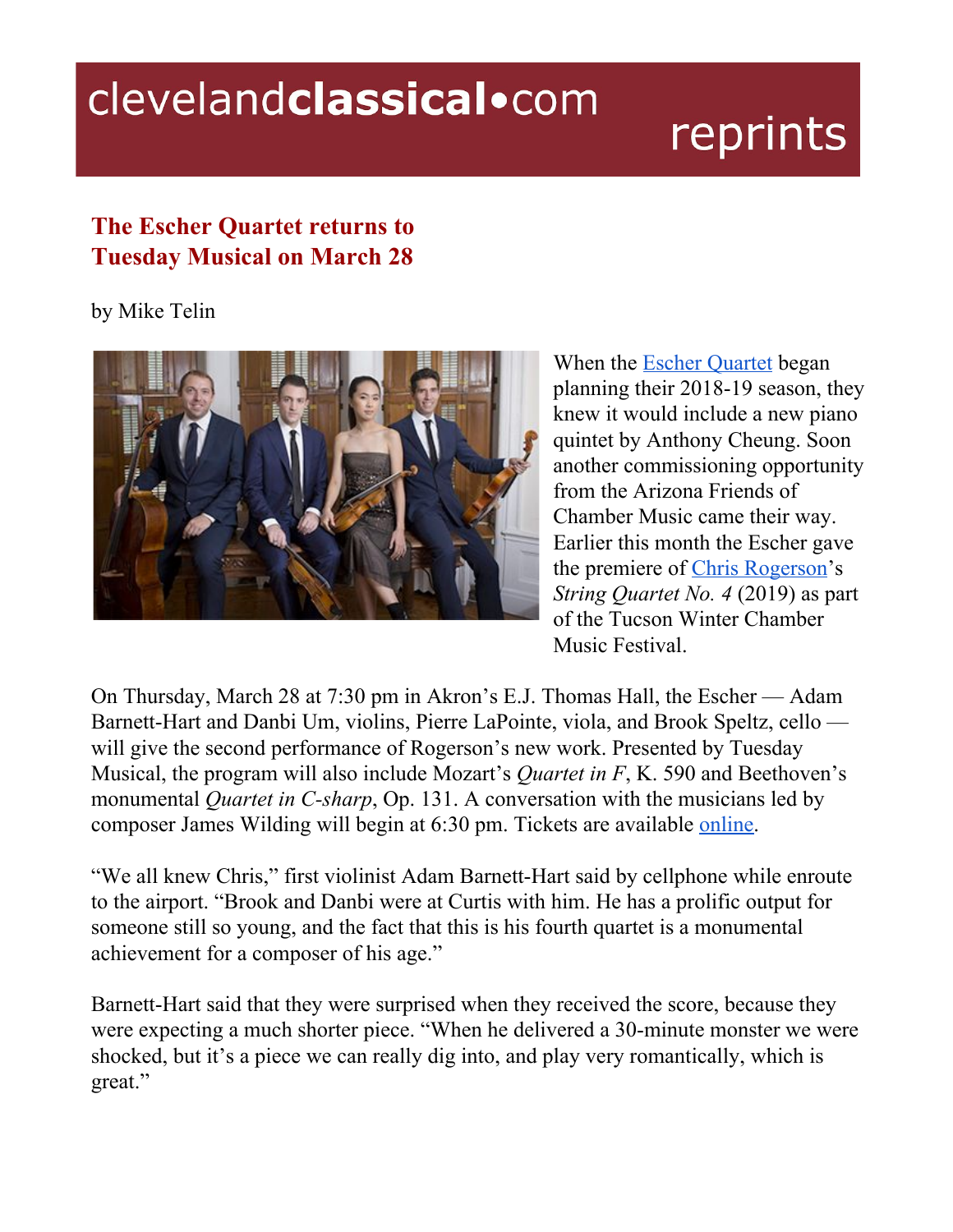## clevelandclassical.com

## reprints

## **The Escher Quartet returns to Tuesday Musical on March 28**

by Mike Telin



When the Escher [Quartet](https://escherquartet.com/) began planning their 2018-19 season, they knew it would include a new piano quintet by Anthony Cheung. Soon another commissioning opportunity from the Arizona Friends of Chamber Music came their way. Earlier this month the Escher gave the premiere of Chris [Rogerson'](http://chrisrogerson.com/)s *String Quartet No. 4* (2019) as part of the Tucson Winter Chamber Music Festival.

On Thursday, March 28 at 7:30 pm in Akron's E.J. Thomas Hall, the Escher — Adam Barnett-Hart and Danbi Um, violins, Pierre LaPointe, viola, and Brook Speltz, cello will give the second performance of Rogerson's new work. Presented by Tuesday Musical, the program will also include Mozart's *Quartet in F*, K. 590 and Beethoven's monumental *Quartet in C-sharp*, Op. 131. A conversation with the musicians led by composer James Wilding will begin at 6:30 pm. Tickets are available [online](http://www.tuesdaymusical.org/).

"We all knew Chris," first violinist Adam Barnett-Hart said by cellphone while enroute to the airport. "Brook and Danbi were at Curtis with him. He has a prolific output for someone still so young, and the fact that this is his fourth quartet is a monumental achievement for a composer of his age."

Barnett-Hart said that they were surprised when they received the score, because they were expecting a much shorter piece. "When he delivered a 30-minute monster we were shocked, but it's a piece we can really dig into, and play very romantically, which is great."